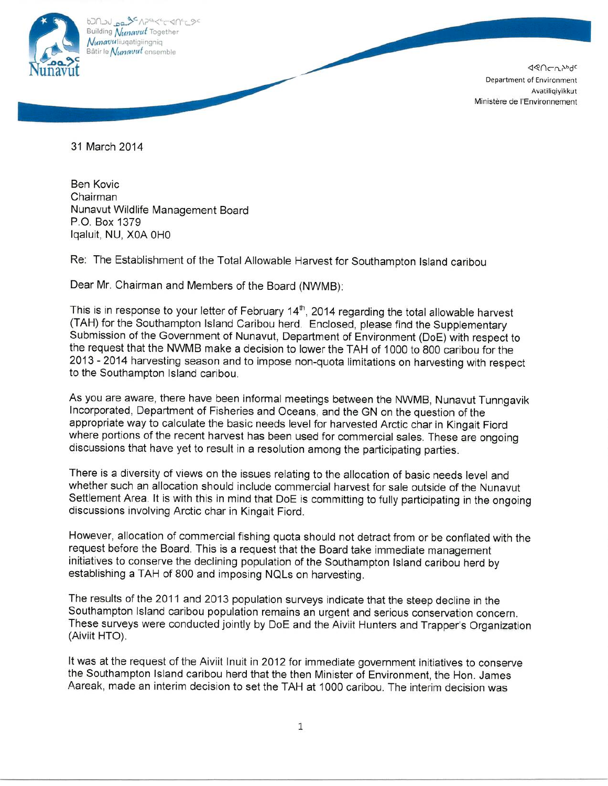

620202020202020404000 Building Nunavut Together Nunavuliugatigiingnig Bâtir le Nunavut ensemble

> **JQULUPPGC** Department of Environment Avatiliqiyikkut Ministère de l'Environnement

31 March 2014

**Ben Kovic** Chairman Nunavut Wildlife Management Board P.O. Box 1379 Igaluit, NU, X0A 0H0

Re: The Establishment of the Total Allowable Harvest for Southampton Island caribou

Dear Mr. Chairman and Members of the Board (NWMB):

This is in response to your letter of February 14<sup>th</sup>, 2014 regarding the total allowable harvest (TAH) for the Southampton Island Caribou herd. Enclosed, please find the Supplementary Submission of the Government of Nunavut, Department of Environment (DoE) with respect to the request that the NWMB make a decision to lower the TAH of 1000 to 800 caribou for the 2013 - 2014 harvesting season and to impose non-quota limitations on harvesting with respect to the Southampton Island caribou.

As you are aware, there have been informal meetings between the NWMB, Nunavut Tunngavik Incorporated, Department of Fisheries and Oceans, and the GN on the question of the appropriate way to calculate the basic needs level for harvested Arctic char in Kingait Fiord where portions of the recent harvest has been used for commercial sales. These are ongoing discussions that have yet to result in a resolution among the participating parties.

There is a diversity of views on the issues relating to the allocation of basic needs level and whether such an allocation should include commercial harvest for sale outside of the Nunavut Settlement Area. It is with this in mind that DoE is committing to fully participating in the ongoing discussions involving Arctic char in Kingait Fiord.

However, allocation of commercial fishing quota should not detract from or be conflated with the request before the Board. This is a request that the Board take immediate management initiatives to conserve the declining population of the Southampton Island caribou herd by establishing a TAH of 800 and imposing NQLs on harvesting.

The results of the 2011 and 2013 population surveys indicate that the steep decline in the Southampton Island caribou population remains an urgent and serious conservation concern. These surveys were conducted jointly by DoE and the Aiviit Hunters and Trapper's Organization (Aiviit HTO).

It was at the request of the Aiviit Inuit in 2012 for immediate government initiatives to conserve the Southampton Island caribou herd that the then Minister of Environment, the Hon. James Aareak, made an interim decision to set the TAH at 1000 caribou. The interim decision was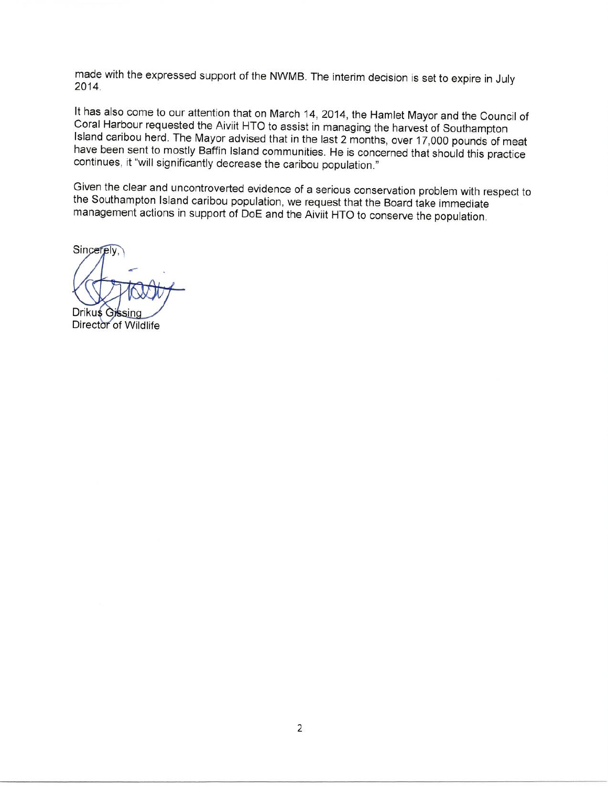made with the expressed support of the NWMB. The interim decision is set to expire in July 2014.

It has also come to our attention that on March 14, 2014, the Hamlet Mayor and the Council of Coral Harbour requested the Aiviit HTO to assist in managing the harvest of Southampton Island caribou herd. The Mayor advised that in the last 2 months, over 17,000 pounds of meat have been sent to mostly Baffin Island communities. He is concerned that should this practice continues, it "will significantly decrease the caribou population."

Given the clear and uncontroverted evidence of a serious conservation problem with respect to the Southampton Island caribou population, we request that the Board take immediate management actions in support of DoE and the Aiviit HTO to conserve the population.

Sincerely,

Drikus Gissing

Director of Wildlife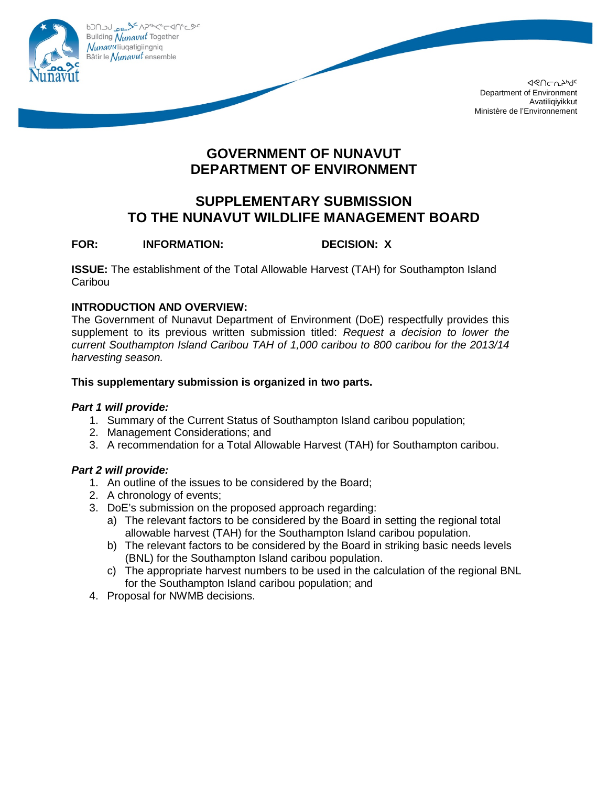

020799479442904290 Building Nunavut Together Nunavuliuqatigiingniq Bâtir le Nunavut ensemble

> ᐊᕙᑎᓕᕆᔨᒃᑯᑦ Department of Environment Avatiliqiyikkut Ministère de l'Environnement

# **GOVERNMENT OF NUNAVUT DEPARTMENT OF ENVIRONMENT**

# **SUPPLEMENTARY SUBMISSION TO THE NUNAVUT WILDLIFE MANAGEMENT BOARD**

# **FOR: INFORMATION: DECISION: X**

**ISSUE:** The establishment of the Total Allowable Harvest (TAH) for Southampton Island **Caribou** 

## **INTRODUCTION AND OVERVIEW:**

The Government of Nunavut Department of Environment (DoE) respectfully provides this supplement to its previous written submission titled: *Request a decision to lower the current Southampton Island Caribou TAH of 1,000 caribou to 800 caribou for the 2013/14 harvesting season.*

#### **This supplementary submission is organized in two parts.**

#### *Part 1 will provide:*

- 1. Summary of the Current Status of Southampton Island caribou population;
- 2. Management Considerations; and
- 3. A recommendation for a Total Allowable Harvest (TAH) for Southampton caribou.

## *Part 2 will provide:*

- 1. An outline of the issues to be considered by the Board;
- 2. A chronology of events;
- 3. DoE's submission on the proposed approach regarding:
	- a) The relevant factors to be considered by the Board in setting the regional total allowable harvest (TAH) for the Southampton Island caribou population.
	- b) The relevant factors to be considered by the Board in striking basic needs levels (BNL) for the Southampton Island caribou population.
	- c) The appropriate harvest numbers to be used in the calculation of the regional BNL for the Southampton Island caribou population; and
- 4. Proposal for NWMB decisions.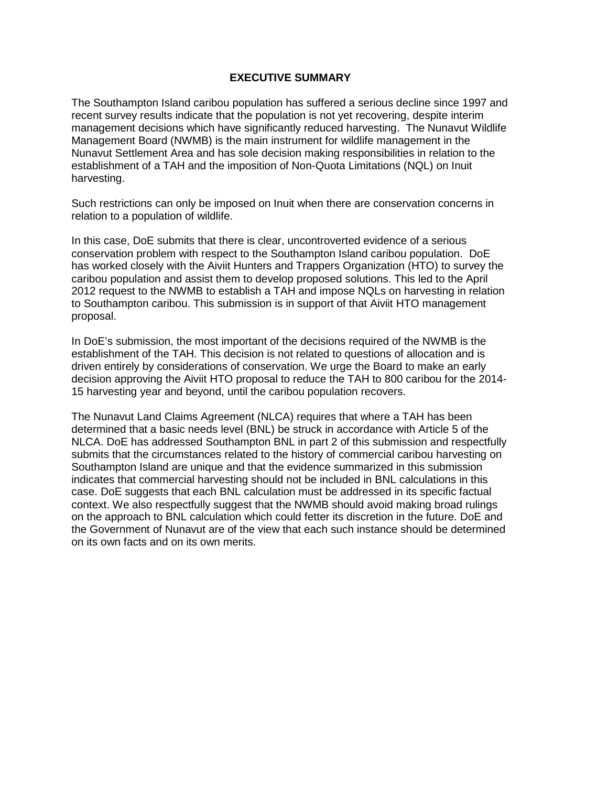#### **EXECUTIVE SUMMARY**

The Southampton Island caribou population has suffered a serious decline since 1997 and recent survey results indicate that the population is not yet recovering, despite interim management decisions which have significantly reduced harvesting. The Nunavut Wildlife Management Board (NWMB) is the main instrument for wildlife management in the Nunavut Settlement Area and has sole decision making responsibilities in relation to the establishment of a TAH and the imposition of Non-Quota Limitations (NQL) on Inuit harvesting.

Such restrictions can only be imposed on Inuit when there are conservation concerns in relation to a population of wildlife.

In this case, DoE submits that there is clear, uncontroverted evidence of a serious conservation problem with respect to the Southampton Island caribou population. DoE has worked closely with the Aiviit Hunters and Trappers Organization (HTO) to survey the caribou population and assist them to develop proposed solutions. This led to the April 2012 request to the NWMB to establish a TAH and impose NQLs on harvesting in relation to Southampton caribou. This submission is in support of that Aiviit HTO management proposal.

In DoE's submission, the most important of the decisions required of the NWMB is the establishment of the TAH. This decision is not related to questions of allocation and is driven entirely by considerations of conservation. We urge the Board to make an early decision approving the Aiviit HTO proposal to reduce the TAH to 800 caribou for the 2014- 15 harvesting year and beyond, until the caribou population recovers.

The Nunavut Land Claims Agreement (NLCA) requires that where a TAH has been determined that a basic needs level (BNL) be struck in accordance with Article 5 of the NLCA. DoE has addressed Southampton BNL in part 2 of this submission and respectfully submits that the circumstances related to the history of commercial caribou harvesting on Southampton Island are unique and that the evidence summarized in this submission indicates that commercial harvesting should not be included in BNL calculations in this case. DoE suggests that each BNL calculation must be addressed in its specific factual context. We also respectfully suggest that the NWMB should avoid making broad rulings on the approach to BNL calculation which could fetter its discretion in the future. DoE and the Government of Nunavut are of the view that each such instance should be determined on its own facts and on its own merits.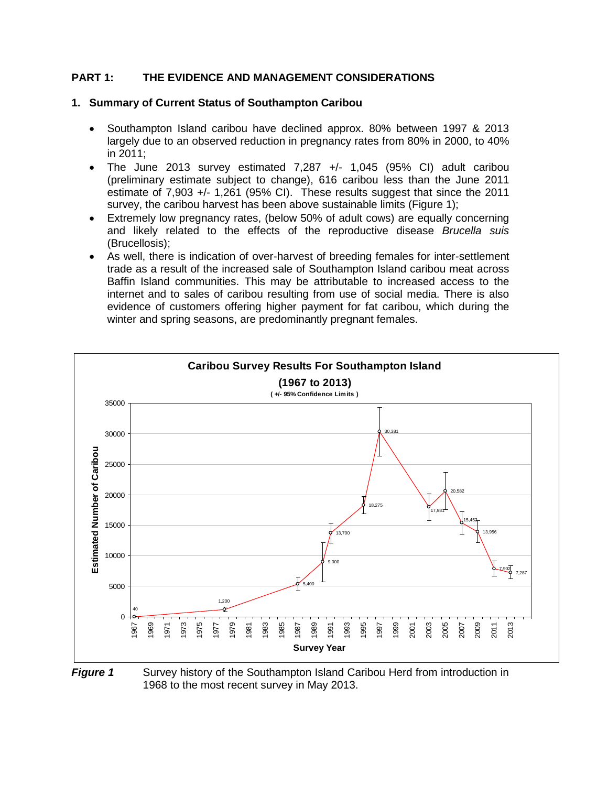#### **PART 1: THE EVIDENCE AND MANAGEMENT CONSIDERATIONS**

#### **1. Summary of Current Status of Southampton Caribou**

- Southampton Island caribou have declined approx. 80% between 1997 & 2013 largely due to an observed reduction in pregnancy rates from 80% in 2000, to 40% in 2011;
- The June 2013 survey estimated 7,287 +/- 1,045 (95% CI) adult caribou (preliminary estimate subject to change), 616 caribou less than the June 2011 estimate of 7,903 +/- 1,261 (95% CI). These results suggest that since the 2011 survey, the caribou harvest has been above sustainable limits (Figure 1);
- Extremely low pregnancy rates, (below 50% of adult cows) are equally concerning and likely related to the effects of the reproductive disease *Brucella suis* (Brucellosis);
- As well, there is indication of over-harvest of breeding females for inter-settlement trade as a result of the increased sale of Southampton Island caribou meat across Baffin Island communities. This may be attributable to increased access to the internet and to sales of caribou resulting from use of social media. There is also evidence of customers offering higher payment for fat caribou, which during the winter and spring seasons, are predominantly pregnant females.



**Figure 1** Survey history of the Southampton Island Caribou Herd from introduction in 1968 to the most recent survey in May 2013.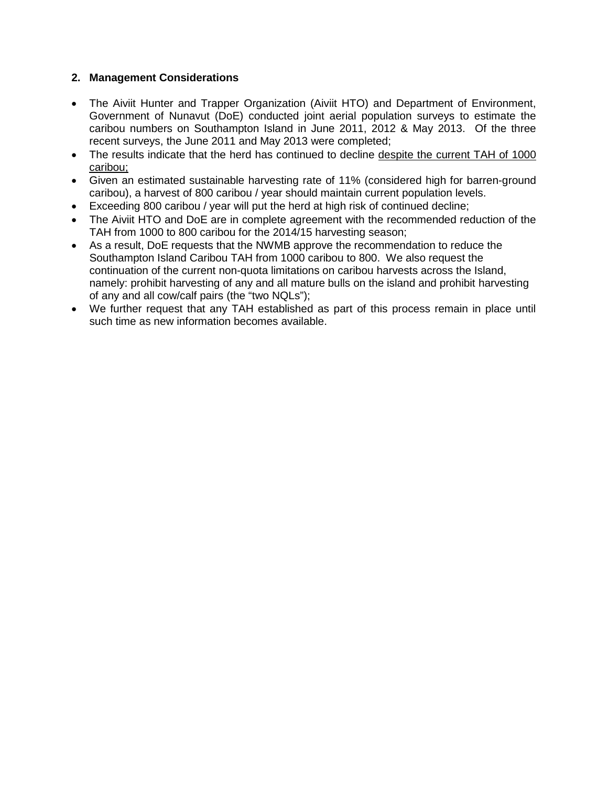### **2. Management Considerations**

- The Aiviit Hunter and Trapper Organization (Aiviit HTO) and Department of Environment, Government of Nunavut (DoE) conducted joint aerial population surveys to estimate the caribou numbers on Southampton Island in June 2011, 2012 & May 2013. Of the three recent surveys, the June 2011 and May 2013 were completed;
- The results indicate that the herd has continued to decline despite the current TAH of 1000 caribou;
- Given an estimated sustainable harvesting rate of 11% (considered high for barren-ground caribou), a harvest of 800 caribou / year should maintain current population levels.
- Exceeding 800 caribou / year will put the herd at high risk of continued decline;
- The Aiviit HTO and DoE are in complete agreement with the recommended reduction of the TAH from 1000 to 800 caribou for the 2014/15 harvesting season;
- As a result, DoE requests that the NWMB approve the recommendation to reduce the Southampton Island Caribou TAH from 1000 caribou to 800. We also request the continuation of the current non-quota limitations on caribou harvests across the Island, namely: prohibit harvesting of any and all mature bulls on the island and prohibit harvesting of any and all cow/calf pairs (the "two NQLs");
- We further request that any TAH established as part of this process remain in place until such time as new information becomes available.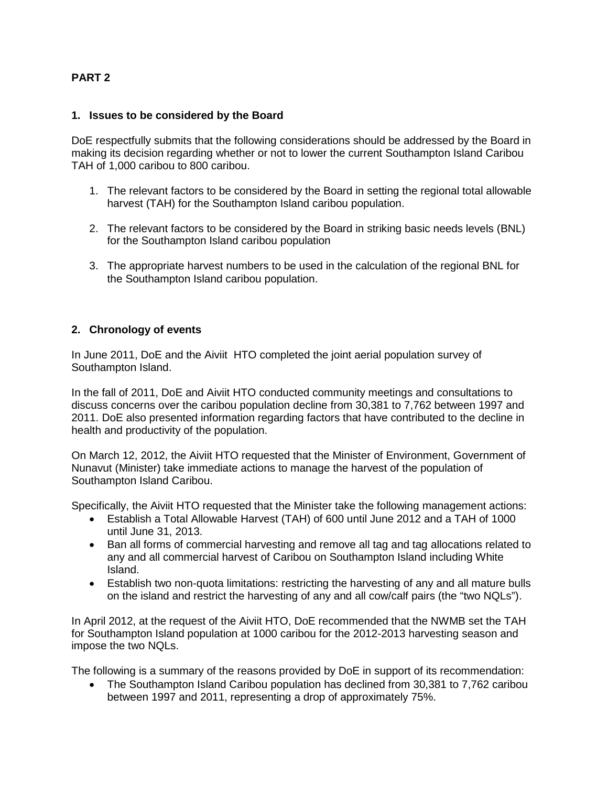#### **PART 2**

#### **1. Issues to be considered by the Board**

DoE respectfully submits that the following considerations should be addressed by the Board in making its decision regarding whether or not to lower the current Southampton Island Caribou TAH of 1,000 caribou to 800 caribou.

- 1. The relevant factors to be considered by the Board in setting the regional total allowable harvest (TAH) for the Southampton Island caribou population.
- 2. The relevant factors to be considered by the Board in striking basic needs levels (BNL) for the Southampton Island caribou population
- 3. The appropriate harvest numbers to be used in the calculation of the regional BNL for the Southampton Island caribou population.

#### **2. Chronology of events**

In June 2011, DoE and the Aiviit HTO completed the joint aerial population survey of Southampton Island.

In the fall of 2011, DoE and Aiviit HTO conducted community meetings and consultations to discuss concerns over the caribou population decline from 30,381 to 7,762 between 1997 and 2011. DoE also presented information regarding factors that have contributed to the decline in health and productivity of the population.

On March 12, 2012, the Aiviit HTO requested that the Minister of Environment, Government of Nunavut (Minister) take immediate actions to manage the harvest of the population of Southampton Island Caribou.

Specifically, the Aiviit HTO requested that the Minister take the following management actions:

- Establish a Total Allowable Harvest (TAH) of 600 until June 2012 and a TAH of 1000 until June 31, 2013.
- Ban all forms of commercial harvesting and remove all tag and tag allocations related to any and all commercial harvest of Caribou on Southampton Island including White Island.
- Establish two non-quota limitations: restricting the harvesting of any and all mature bulls on the island and restrict the harvesting of any and all cow/calf pairs (the "two NQLs").

In April 2012, at the request of the Aiviit HTO, DoE recommended that the NWMB set the TAH for Southampton Island population at 1000 caribou for the 2012-2013 harvesting season and impose the two NQLs.

The following is a summary of the reasons provided by DoE in support of its recommendation:

• The Southampton Island Caribou population has declined from 30,381 to 7,762 caribou between 1997 and 2011, representing a drop of approximately 75%.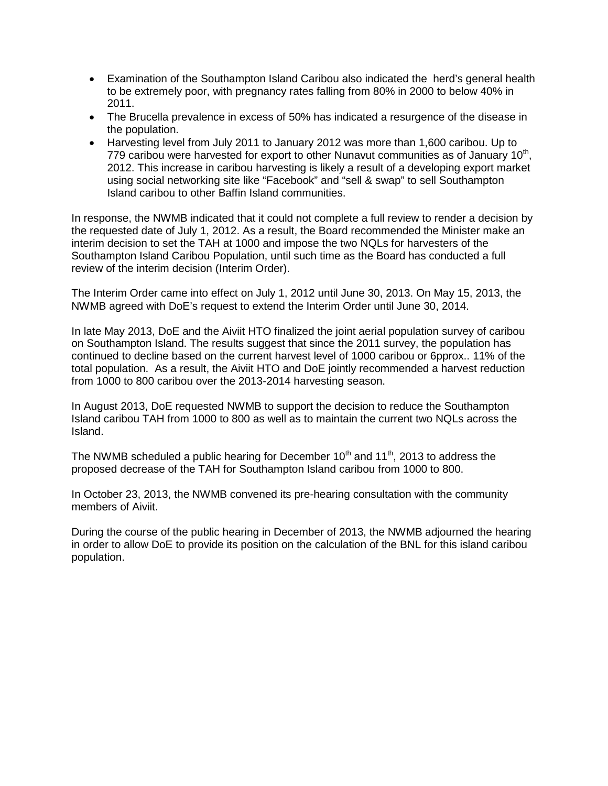- Examination of the Southampton Island Caribou also indicated the herd's general health to be extremely poor, with pregnancy rates falling from 80% in 2000 to below 40% in 2011.
- The Brucella prevalence in excess of 50% has indicated a resurgence of the disease in the population.
- Harvesting level from July 2011 to January 2012 was more than 1,600 caribou. Up to 779 caribou were harvested for export to other Nunavut communities as of January  $10<sup>th</sup>$ , 2012. This increase in caribou harvesting is likely a result of a developing export market using social networking site like "Facebook" and "sell & swap" to sell Southampton Island caribou to other Baffin Island communities.

In response, the NWMB indicated that it could not complete a full review to render a decision by the requested date of July 1, 2012. As a result, the Board recommended the Minister make an interim decision to set the TAH at 1000 and impose the two NQLs for harvesters of the Southampton Island Caribou Population, until such time as the Board has conducted a full review of the interim decision (Interim Order).

The Interim Order came into effect on July 1, 2012 until June 30, 2013. On May 15, 2013, the NWMB agreed with DoE's request to extend the Interim Order until June 30, 2014.

In late May 2013, DoE and the Aiviit HTO finalized the joint aerial population survey of caribou on Southampton Island. The results suggest that since the 2011 survey, the population has continued to decline based on the current harvest level of 1000 caribou or 6pprox.. 11% of the total population. As a result, the Aiviit HTO and DoE jointly recommended a harvest reduction from 1000 to 800 caribou over the 2013-2014 harvesting season.

In August 2013, DoE requested NWMB to support the decision to reduce the Southampton Island caribou TAH from 1000 to 800 as well as to maintain the current two NQLs across the Island.

The NWMB scheduled a public hearing for December  $10<sup>th</sup>$  and  $11<sup>th</sup>$ , 2013 to address the proposed decrease of the TAH for Southampton Island caribou from 1000 to 800.

In October 23, 2013, the NWMB convened its pre-hearing consultation with the community members of Aiviit.

During the course of the public hearing in December of 2013, the NWMB adjourned the hearing in order to allow DoE to provide its position on the calculation of the BNL for this island caribou population.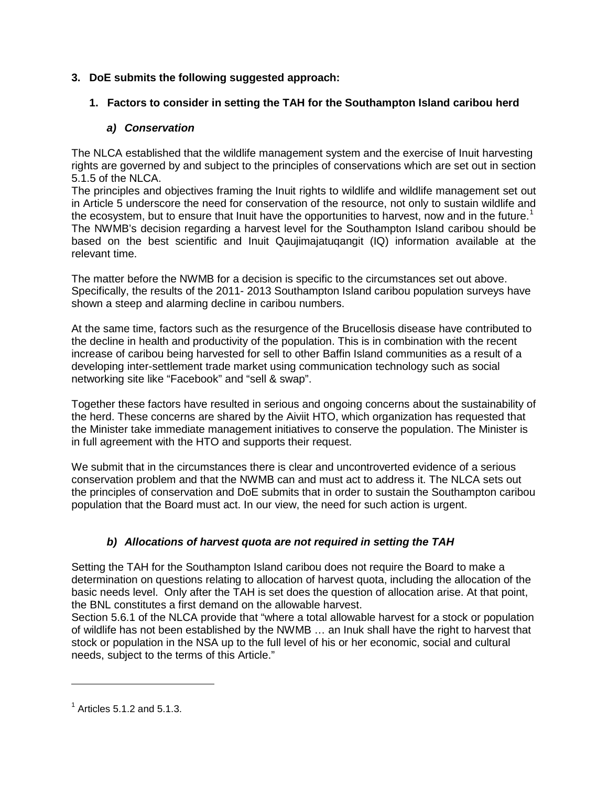## **3. DoE submits the following suggested approach:**

# **1. Factors to consider in setting the TAH for the Southampton Island caribou herd**

# *a) Conservation*

The NLCA established that the wildlife management system and the exercise of Inuit harvesting rights are governed by and subject to the principles of conservations which are set out in section 5.1.5 of the NLCA.

The principles and objectives framing the Inuit rights to wildlife and wildlife management set out in Article 5 underscore the need for conservation of the resource, not only to sustain wildlife and the ecosystem, but to ensure that Inuit have the opportunities to harvest, now and in the future.<sup>[1](#page-8-0)</sup> The NWMB's decision regarding a harvest level for the Southampton Island caribou should be based on the best scientific and Inuit Qaujimajatuqangit (IQ) information available at the relevant time.

The matter before the NWMB for a decision is specific to the circumstances set out above. Specifically, the results of the 2011- 2013 Southampton Island caribou population surveys have shown a steep and alarming decline in caribou numbers.

At the same time, factors such as the resurgence of the Brucellosis disease have contributed to the decline in health and productivity of the population. This is in combination with the recent increase of caribou being harvested for sell to other Baffin Island communities as a result of a developing inter-settlement trade market using communication technology such as social networking site like "Facebook" and "sell & swap".

Together these factors have resulted in serious and ongoing concerns about the sustainability of the herd. These concerns are shared by the Aiviit HTO, which organization has requested that the Minister take immediate management initiatives to conserve the population. The Minister is in full agreement with the HTO and supports their request.

We submit that in the circumstances there is clear and uncontroverted evidence of a serious conservation problem and that the NWMB can and must act to address it. The NLCA sets out the principles of conservation and DoE submits that in order to sustain the Southampton caribou population that the Board must act. In our view, the need for such action is urgent.

# *b) Allocations of harvest quota are not required in setting the TAH*

Setting the TAH for the Southampton Island caribou does not require the Board to make a determination on questions relating to allocation of harvest quota, including the allocation of the basic needs level. Only after the TAH is set does the question of allocation arise. At that point, the BNL constitutes a first demand on the allowable harvest.

Section 5.6.1 of the NLCA provide that "where a total allowable harvest for a stock or population of wildlife has not been established by the NWMB … an Inuk shall have the right to harvest that stock or population in the NSA up to the full level of his or her economic, social and cultural needs, subject to the terms of this Article."

 $\overline{a}$ 

<span id="page-8-0"></span> $<sup>1</sup>$  Articles 5.1.2 and 5.1.3.</sup>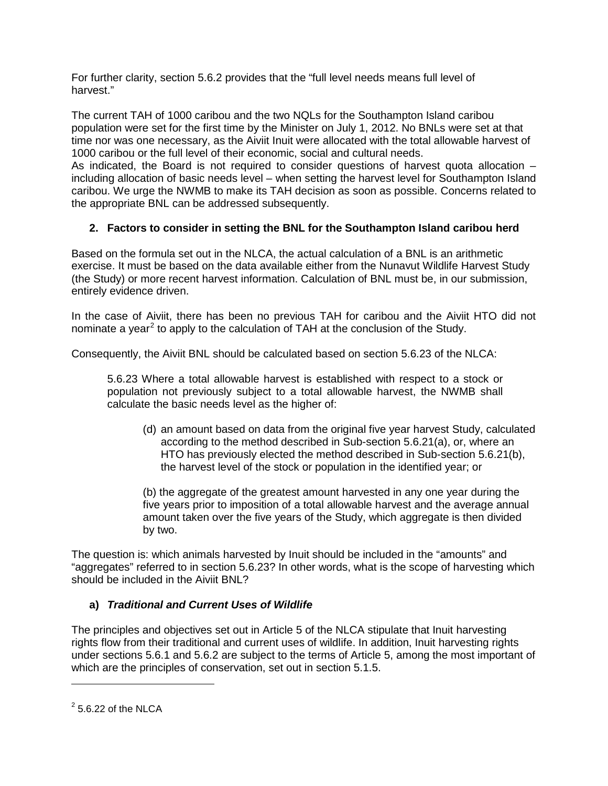For further clarity, section 5.6.2 provides that the "full level needs means full level of harvest."

The current TAH of 1000 caribou and the two NQLs for the Southampton Island caribou population were set for the first time by the Minister on July 1, 2012. No BNLs were set at that time nor was one necessary, as the Aiviit Inuit were allocated with the total allowable harvest of 1000 caribou or the full level of their economic, social and cultural needs.

As indicated, the Board is not required to consider questions of harvest quota allocation – including allocation of basic needs level – when setting the harvest level for Southampton Island caribou. We urge the NWMB to make its TAH decision as soon as possible. Concerns related to the appropriate BNL can be addressed subsequently.

# **2. Factors to consider in setting the BNL for the Southampton Island caribou herd**

Based on the formula set out in the NLCA, the actual calculation of a BNL is an arithmetic exercise. It must be based on the data available either from the Nunavut Wildlife Harvest Study (the Study) or more recent harvest information. Calculation of BNL must be, in our submission, entirely evidence driven.

In the case of Aiviit, there has been no previous TAH for caribou and the Aiviit HTO did not nominate a year<sup>[2](#page-9-0)</sup> to apply to the calculation of TAH at the conclusion of the Study.

Consequently, the Aiviit BNL should be calculated based on section 5.6.23 of the NLCA:

5.6.23 Where a total allowable harvest is established with respect to a stock or population not previously subject to a total allowable harvest, the NWMB shall calculate the basic needs level as the higher of:

(d) an amount based on data from the original five year harvest Study, calculated according to the method described in Sub-section 5.6.21(a), or, where an HTO has previously elected the method described in Sub-section 5.6.21(b), the harvest level of the stock or population in the identified year; or

(b) the aggregate of the greatest amount harvested in any one year during the five years prior to imposition of a total allowable harvest and the average annual amount taken over the five years of the Study, which aggregate is then divided by two.

The question is: which animals harvested by Inuit should be included in the "amounts" and "aggregates" referred to in section 5.6.23? In other words, what is the scope of harvesting which should be included in the Aiviit BNL?

## **a)** *Traditional and Current Uses of Wildlife*

The principles and objectives set out in Article 5 of the NLCA stipulate that Inuit harvesting rights flow from their traditional and current uses of wildlife. In addition, Inuit harvesting rights under sections 5.6.1 and 5.6.2 are subject to the terms of Article 5, among the most important of which are the principles of conservation, set out in section 5.1.5.

 $\overline{a}$ 

<span id="page-9-0"></span> $2$  5.6.22 of the NLCA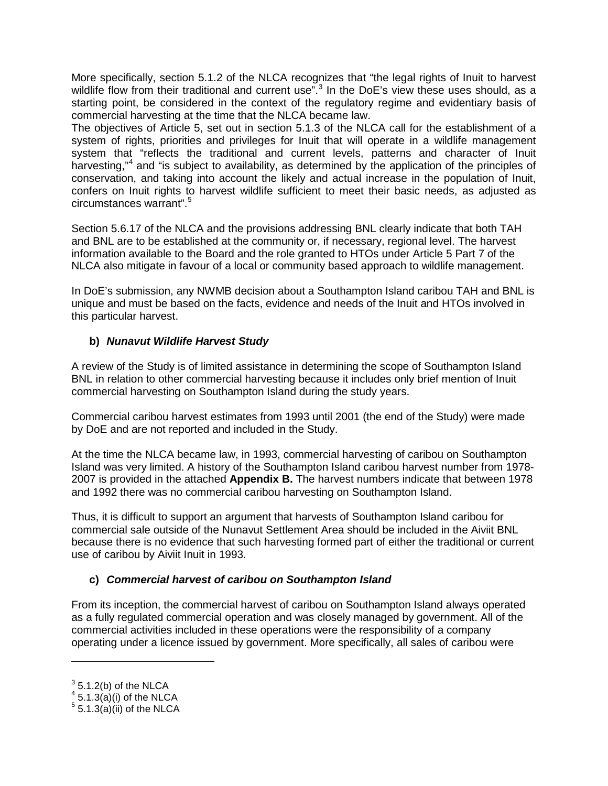More specifically, section 5.1.2 of the NLCA recognizes that "the legal rights of Inuit to harvest wildlife flow from their traditional and current use".<sup>[3](#page-10-0)</sup> In the DoE's view these uses should, as a starting point, be considered in the context of the regulatory regime and evidentiary basis of commercial harvesting at the time that the NLCA became law.

The objectives of Article 5, set out in section 5.1.3 of the NLCA call for the establishment of a system of rights, priorities and privileges for Inuit that will operate in a wildlife management system that "reflects the traditional and current levels, patterns and character of Inuit harvesting,"<sup>[4](#page-10-1)</sup> and "is subject to availability, as determined by the application of the principles of conservation, and taking into account the likely and actual increase in the population of Inuit, confers on Inuit rights to harvest wildlife sufficient to meet their basic needs, as adjusted as circumstances warrant".[5](#page-10-2)

Section 5.6.17 of the NLCA and the provisions addressing BNL clearly indicate that both TAH and BNL are to be established at the community or, if necessary, regional level. The harvest information available to the Board and the role granted to HTOs under Article 5 Part 7 of the NLCA also mitigate in favour of a local or community based approach to wildlife management.

In DoE's submission, any NWMB decision about a Southampton Island caribou TAH and BNL is unique and must be based on the facts, evidence and needs of the Inuit and HTOs involved in this particular harvest.

# **b)** *Nunavut Wildlife Harvest Study*

A review of the Study is of limited assistance in determining the scope of Southampton Island BNL in relation to other commercial harvesting because it includes only brief mention of Inuit commercial harvesting on Southampton Island during the study years.

Commercial caribou harvest estimates from 1993 until 2001 (the end of the Study) were made by DoE and are not reported and included in the Study.

At the time the NLCA became law, in 1993, commercial harvesting of caribou on Southampton Island was very limited. A history of the Southampton Island caribou harvest number from 1978- 2007 is provided in the attached **Appendix B.** The harvest numbers indicate that between 1978 and 1992 there was no commercial caribou harvesting on Southampton Island.

Thus, it is difficult to support an argument that harvests of Southampton Island caribou for commercial sale outside of the Nunavut Settlement Area should be included in the Aiviit BNL because there is no evidence that such harvesting formed part of either the traditional or current use of caribou by Aiviit Inuit in 1993.

## **c)** *Commercial harvest of caribou on Southampton Island*

From its inception, the commercial harvest of caribou on Southampton Island always operated as a fully regulated commercial operation and was closely managed by government. All of the commercial activities included in these operations were the responsibility of a company operating under a licence issued by government. More specifically, all sales of caribou were

 $\overline{a}$ 

 $3$  5.1.2(b) of the NLCA

<span id="page-10-1"></span><span id="page-10-0"></span> $4\overline{5.1.3(a)}$ (i) of the NLCA

<span id="page-10-2"></span> $5\overline{5.1.3(a)}$ (ii) of the NLCA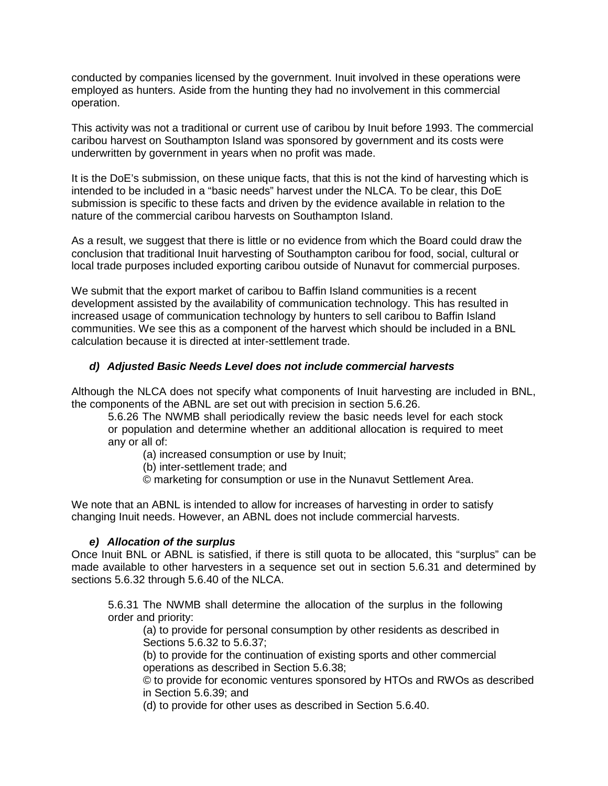conducted by companies licensed by the government. Inuit involved in these operations were employed as hunters. Aside from the hunting they had no involvement in this commercial operation.

This activity was not a traditional or current use of caribou by Inuit before 1993. The commercial caribou harvest on Southampton Island was sponsored by government and its costs were underwritten by government in years when no profit was made.

It is the DoE's submission, on these unique facts, that this is not the kind of harvesting which is intended to be included in a "basic needs" harvest under the NLCA. To be clear, this DoE submission is specific to these facts and driven by the evidence available in relation to the nature of the commercial caribou harvests on Southampton Island.

As a result, we suggest that there is little or no evidence from which the Board could draw the conclusion that traditional Inuit harvesting of Southampton caribou for food, social, cultural or local trade purposes included exporting caribou outside of Nunavut for commercial purposes.

We submit that the export market of caribou to Baffin Island communities is a recent development assisted by the availability of communication technology. This has resulted in increased usage of communication technology by hunters to sell caribou to Baffin Island communities. We see this as a component of the harvest which should be included in a BNL calculation because it is directed at inter-settlement trade.

#### *d) Adjusted Basic Needs Level does not include commercial harvests*

Although the NLCA does not specify what components of Inuit harvesting are included in BNL, the components of the ABNL are set out with precision in section 5.6.26.

5.6.26 The NWMB shall periodically review the basic needs level for each stock or population and determine whether an additional allocation is required to meet any or all of:

(a) increased consumption or use by Inuit;

(b) inter-settlement trade; and

© marketing for consumption or use in the Nunavut Settlement Area.

We note that an ABNL is intended to allow for increases of harvesting in order to satisfy changing Inuit needs. However, an ABNL does not include commercial harvests.

#### *e) Allocation of the surplus*

Once Inuit BNL or ABNL is satisfied, if there is still quota to be allocated, this "surplus" can be made available to other harvesters in a sequence set out in section 5.6.31 and determined by sections 5.6.32 through 5.6.40 of the NLCA.

5.6.31 The NWMB shall determine the allocation of the surplus in the following order and priority:

(a) to provide for personal consumption by other residents as described in Sections 5.6.32 to 5.6.37;

(b) to provide for the continuation of existing sports and other commercial operations as described in Section 5.6.38;

© to provide for economic ventures sponsored by HTOs and RWOs as described in Section 5.6.39; and

(d) to provide for other uses as described in Section 5.6.40.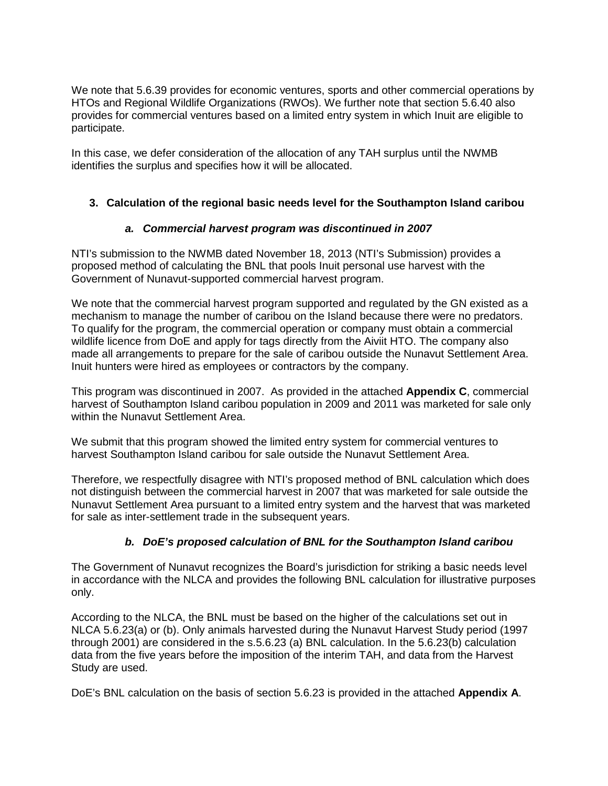We note that 5.6.39 provides for economic ventures, sports and other commercial operations by HTOs and Regional Wildlife Organizations (RWOs). We further note that section 5.6.40 also provides for commercial ventures based on a limited entry system in which Inuit are eligible to participate.

In this case, we defer consideration of the allocation of any TAH surplus until the NWMB identifies the surplus and specifies how it will be allocated.

## **3. Calculation of the regional basic needs level for the Southampton Island caribou**

#### *a. Commercial harvest program was discontinued in 2007*

NTI's submission to the NWMB dated November 18, 2013 (NTI's Submission) provides a proposed method of calculating the BNL that pools Inuit personal use harvest with the Government of Nunavut-supported commercial harvest program.

We note that the commercial harvest program supported and regulated by the GN existed as a mechanism to manage the number of caribou on the Island because there were no predators. To qualify for the program, the commercial operation or company must obtain a commercial wildlife licence from DoE and apply for tags directly from the Aiviit HTO. The company also made all arrangements to prepare for the sale of caribou outside the Nunavut Settlement Area. Inuit hunters were hired as employees or contractors by the company.

This program was discontinued in 2007. As provided in the attached **Appendix C**, commercial harvest of Southampton Island caribou population in 2009 and 2011 was marketed for sale only within the Nunavut Settlement Area.

We submit that this program showed the limited entry system for commercial ventures to harvest Southampton Island caribou for sale outside the Nunavut Settlement Area.

Therefore, we respectfully disagree with NTI's proposed method of BNL calculation which does not distinguish between the commercial harvest in 2007 that was marketed for sale outside the Nunavut Settlement Area pursuant to a limited entry system and the harvest that was marketed for sale as inter-settlement trade in the subsequent years.

## *b. DoE's proposed calculation of BNL for the Southampton Island caribou*

The Government of Nunavut recognizes the Board's jurisdiction for striking a basic needs level in accordance with the NLCA and provides the following BNL calculation for illustrative purposes only.

According to the NLCA, the BNL must be based on the higher of the calculations set out in NLCA 5.6.23(a) or (b). Only animals harvested during the Nunavut Harvest Study period (1997 through 2001) are considered in the s.5.6.23 (a) BNL calculation. In the 5.6.23(b) calculation data from the five years before the imposition of the interim TAH, and data from the Harvest Study are used.

DoE's BNL calculation on the basis of section 5.6.23 is provided in the attached **Appendix A**.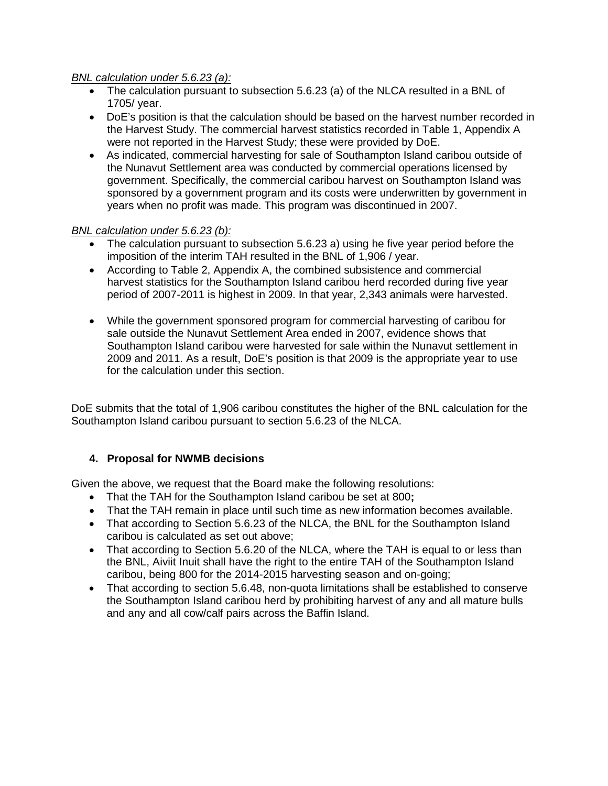#### *BNL calculation under 5.6.23 (a):*

- The calculation pursuant to subsection 5.6.23 (a) of the NLCA resulted in a BNL of 1705/ year.
- DoE's position is that the calculation should be based on the harvest number recorded in the Harvest Study. The commercial harvest statistics recorded in Table 1, Appendix A were not reported in the Harvest Study; these were provided by DoE.
- As indicated, commercial harvesting for sale of Southampton Island caribou outside of the Nunavut Settlement area was conducted by commercial operations licensed by government. Specifically, the commercial caribou harvest on Southampton Island was sponsored by a government program and its costs were underwritten by government in years when no profit was made. This program was discontinued in 2007.

#### *BNL calculation under 5.6.23 (b):*

- The calculation pursuant to subsection 5.6.23 a) using he five year period before the imposition of the interim TAH resulted in the BNL of 1,906 / year.
- According to Table 2, Appendix A, the combined subsistence and commercial harvest statistics for the Southampton Island caribou herd recorded during five year period of 2007-2011 is highest in 2009. In that year, 2,343 animals were harvested.
- While the government sponsored program for commercial harvesting of caribou for sale outside the Nunavut Settlement Area ended in 2007, evidence shows that Southampton Island caribou were harvested for sale within the Nunavut settlement in 2009 and 2011. As a result, DoE's position is that 2009 is the appropriate year to use for the calculation under this section.

DoE submits that the total of 1,906 caribou constitutes the higher of the BNL calculation for the Southampton Island caribou pursuant to section 5.6.23 of the NLCA.

## **4. Proposal for NWMB decisions**

Given the above, we request that the Board make the following resolutions:

- That the TAH for the Southampton Island caribou be set at 800**;**
- That the TAH remain in place until such time as new information becomes available.
- That according to Section 5.6.23 of the NLCA, the BNL for the Southampton Island caribou is calculated as set out above;
- That according to Section 5.6.20 of the NLCA, where the TAH is equal to or less than the BNL, Aiviit Inuit shall have the right to the entire TAH of the Southampton Island caribou, being 800 for the 2014-2015 harvesting season and on-going;
- That according to section 5.6.48, non-quota limitations shall be established to conserve the Southampton Island caribou herd by prohibiting harvest of any and all mature bulls and any and all cow/calf pairs across the Baffin Island.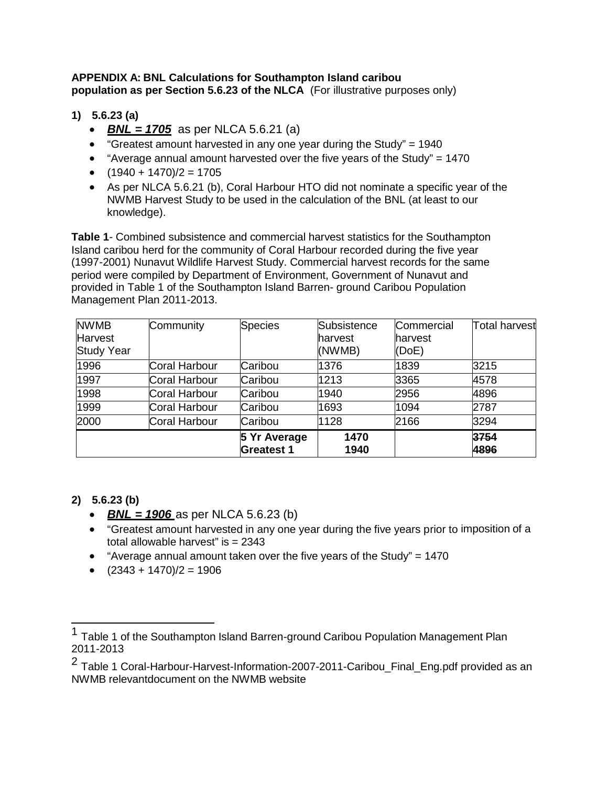#### **APPENDIX A: BNL Calculations for Southampton Island caribou population as per Section 5.6.23 of the NLCA** (For illustrative purposes only)

# **1) 5.6.23 (a)**

- *BNL = 1705* as per NLCA 5.6.21 (a)
- "Greatest amount harvested in any one year during the Study" = 1940
- "Average annual amount harvested over the five years of the Study" = 1470
- $(1940 + 1470)/2 = 1705$
- As per NLCA 5.6.21 (b), Coral Harbour HTO did not nominate a specific year of the NWMB Harvest Study to be used in the calculation of the BNL (at least to our knowledge).

**Table 1**- Combined subsistence and commercial harvest statistics for the Southampton Island caribou herd for the community of Coral Harbour recorded during the five year (1997-2001) Nunavut Wildlife Harvest Study. Commercial harvest records for the same period were compiled by Department of Environment, Government of Nunavut and provided in Table 1 of the Southampton Island Barren- ground Caribou Population Management Plan 2011-2013.

| <b>NWMB</b>       | Community     | <b>Species</b>    | Subsistence | Commercial | Total harvest |
|-------------------|---------------|-------------------|-------------|------------|---------------|
| <b>Harvest</b>    |               |                   | harvest     | lharvest   |               |
| <b>Study Year</b> |               |                   | (NWMB)      | (DoE)      |               |
| 1996              | Coral Harbour | Caribou           | 1376        | 1839       | 3215          |
| 1997              | Coral Harbour | Caribou           | 1213        | 3365       | 4578          |
| 1998              | Coral Harbour | Caribou           | 1940        | 2956       | 4896          |
| 1999              | Coral Harbour | Caribou           | 1693        | 1094       | 2787          |
| 2000              | Coral Harbour | Caribou           | 1128        | 2166       | 3294          |
|                   |               | 5 Yr Average      | 1470        |            | 3754          |
|                   |               | <b>Greatest 1</b> | 1940        |            | 4896          |

## **2) 5.6.23 (b)**

- *BNL = 1906* as per NLCA 5.6.23 (b)
- "Greatest amount harvested in any one year during the five years prior to imposition of a total allowable harvest" is = 2343
- "Average annual amount taken over the five years of the Study" = 1470
- $(2343 + 1470)/2 = 1906$

<sup>1</sup> Table 1 of the Southampton Island Barren-ground Caribou Population Management Plan 2011-2013

<sup>&</sup>lt;sup>2</sup> Table 1 Coral-Harbour-Harvest-Information-2007-2011-Caribou\_Final\_Eng.pdf provided as an NWMB relevantdocument on the NWMB website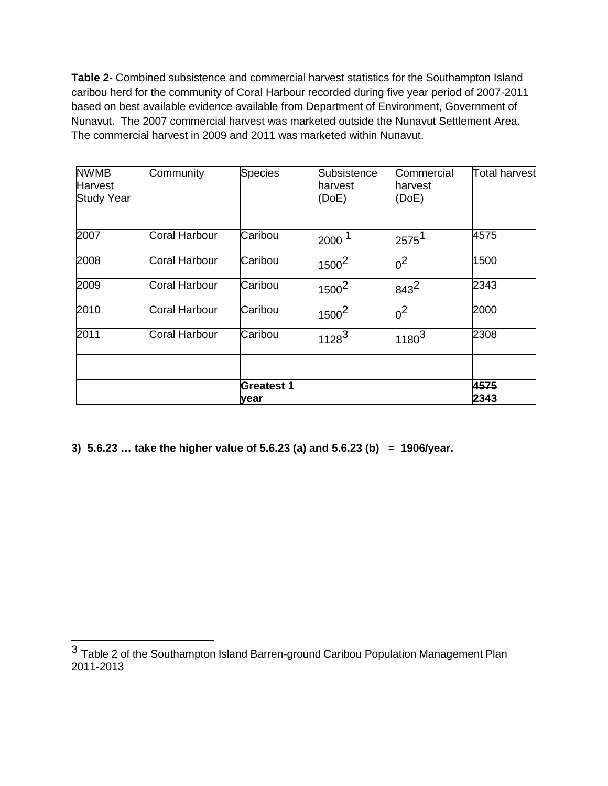**Table 2**- Combined subsistence and commercial harvest statistics for the Southampton Island caribou herd for the community of Coral Harbour recorded during five year period of 2007-2011 based on best available evidence available from Department of Environment, Government of Nunavut. The 2007 commercial harvest was marketed outside the Nunavut Settlement Area. The commercial harvest in 2009 and 2011 was marketed within Nunavut.

| <b>NWMB</b><br><b>Harvest</b><br><b>Study Year</b> | Community     | <b>Species</b>            | Subsistence<br>harvest<br>(DoE) | Commercial<br>lharvest<br>(DoE) | <b>Total harvest</b> |
|----------------------------------------------------|---------------|---------------------------|---------------------------------|---------------------------------|----------------------|
| 2007                                               | Coral Harbour | Caribou                   | 2000 <sup>1</sup>               | $2575^1$                        | 4575                 |
| 2008                                               | Coral Harbour | Caribou                   | $1500^2$                        | $\rm{b}^2$                      | 1500                 |
| 2009                                               | Coral Harbour | Caribou                   | $1500^2$                        | $843^2$                         | 2343                 |
| 2010                                               | Coral Harbour | Caribou                   | $1500^2$                        | 0 <sup>2</sup>                  | 2000                 |
| 2011                                               | Coral Harbour | Caribou                   | $1128^3$                        | $1180^{3}$                      | 2308                 |
|                                                    |               |                           |                                 |                                 |                      |
|                                                    |               | <b>Greatest 1</b><br>year |                                 |                                 | 4575<br>2343         |

**3) 5.6.23 … take the higher value of 5.6.23 (a) and 5.6.23 (b) = 1906/year.**

<sup>3</sup> Table 2 of the Southampton Island Barren-ground Caribou Population Management Plan 2011-2013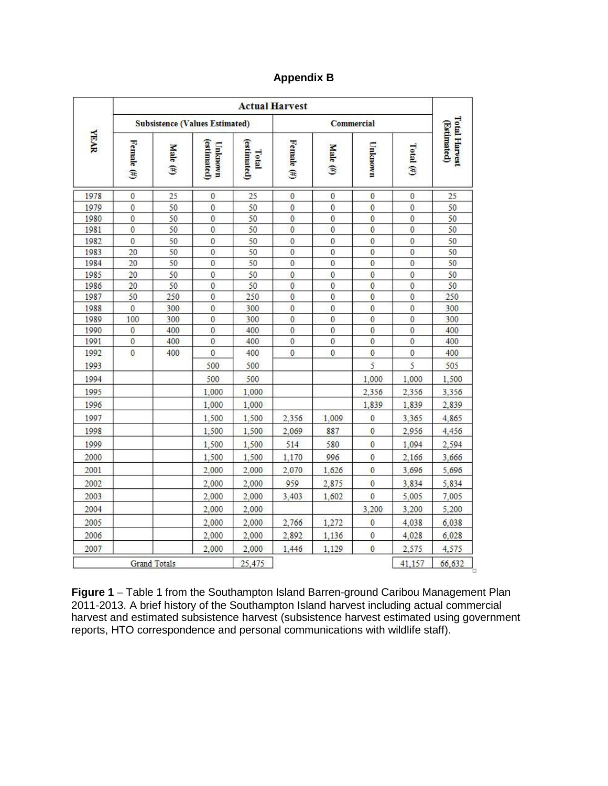## **Appendix B**

|             | <b>Actual Harvest</b> |                                       |                        |                      |                |                 |                  |                |                                     |
|-------------|-----------------------|---------------------------------------|------------------------|----------------------|----------------|-----------------|------------------|----------------|-------------------------------------|
|             |                       | <b>Subsistence (Values Estimated)</b> |                        |                      | Commercial     |                 |                  |                |                                     |
| <b>YEAR</b> | Female (#)            | <b>Male</b><br>Ð                      | (estimated)<br>Unknown | (estimated)<br>Total | Female $(f)$   | Male $(\sharp)$ | <b>Unknown</b>   | Total $(\#)$   | <b>Total Harvest</b><br>(Estimated) |
| 1978        | $\mathbf{0}$          | 25                                    | $\mathbf{0}$           | 25                   | $\mathbf{0}$   | $\mathbf{0}$    | $\mathbf{0}$     | $\mathbf{0}$   | 25                                  |
| 1979        | $\overline{0}$        | 50                                    | $\mathbf{0}$           | 50                   | $\bf{0}$       | $\bf{0}$        | $\overline{0}$   | $\bf{0}$       | 50                                  |
| 1980        | $\overline{0}$        | 50                                    | 0                      | 50                   | 0              | 0               | $\mathbf{0}$     | $\theta$       | 50                                  |
| 1981        | $\overline{0}$        | 50                                    | $\overline{0}$         | 50                   | $\mathbf{0}$   | $\overline{0}$  | $\overline{0}$   | $\theta$       | 50                                  |
| 1982        | $\overline{0}$        | 50                                    | 0                      | 50                   | $\mathbf{0}$   | 0               | $\overline{0}$   | $\bf{0}$       | 50                                  |
| 1983        | 20                    | 50                                    | $\mathbf 0$            | 50                   | $\mathbf{0}$   | $\overline{0}$  | $\overline{0}$   | $\overline{0}$ | 50                                  |
| 1984        | 20                    | 50                                    | $\bf{0}$               | 50                   | $\mathbf{0}$   | $\overline{0}$  | $\bf{0}$         | $\theta$       | 50                                  |
| 1985        | 20                    | 50                                    | $\overline{0}$         | 50                   | $\mathbf{0}$   | $\mathbf{0}$    | $\overline{0}$   | $\mathbf{0}$   | 50                                  |
| 1986        | 20                    | 50                                    | $\overline{0}$         | 50                   | $\mathbf{0}$   | $\overline{0}$  | $\overline{0}$   | $\mathbf{0}$   | 50                                  |
| 1987        | 50                    | 250                                   | $\bf{0}$               | 250                  | $\mathbf{0}$   | $\overline{0}$  | $\overline{0}$   | $\bf{0}$       | 250                                 |
| 1988        | $\bf{0}$              | 300                                   | $\overline{0}$         | 300                  | $\mathbf{0}$   | 0               | $\bf{0}$         | $\mathbf 0$    | 300                                 |
| 1989        | 100                   | 300                                   | $\mathbf{0}$           | 300                  | $\mathbf{0}$   | $\overline{0}$  | $\overline{0}$   | $\theta$       | 300                                 |
| 1990        | $\overline{0}$        | 400                                   | $\overline{0}$         | 400                  | $\overline{0}$ | Ö               | $\overline{0}$   | $\overline{0}$ | 400                                 |
| 1991        | $\overline{0}$        | 400                                   | $\overline{0}$         | 400                  | $\mathbf{0}$   | $\overline{0}$  | $\overline{0}$   | $\mathbf{0}$   | 400                                 |
| 1992        | $\mathbf{0}$          | 400                                   | $\overline{0}$         | 400                  | $\theta$       | $\mathbf{0}$    | $\overline{0}$   | $\theta$       | 400                                 |
| 1993        |                       |                                       | 500                    | 500                  |                |                 | 5                | 5              | 505                                 |
| 1994        |                       |                                       | 500                    | 500                  |                |                 | 1,000            | 1,000          | 1,500                               |
| 1995        |                       |                                       | 1,000                  | 1,000                |                |                 | 2,356            | 2,356          | 3,356                               |
| 1996        |                       |                                       | 1,000                  | 1,000                |                |                 | 1,839            | 1,839          | 2,839                               |
| 1997        |                       |                                       | 1,500                  | 1,500                | 2,356          | 1,009           | $\boldsymbol{0}$ | 3,365          | 4,865                               |
| 1998        |                       |                                       | 1,500                  | 1,500                | 2,069          | 887             | 0                | 2,956          | 4,456                               |
| 1999        |                       |                                       | 1,500                  | 1,500                | 514            | 580             | $\overline{0}$   | 1,094          | 2,594                               |
| 2000        |                       |                                       | 1,500                  | 1,500                | 1,170          | 996             | $\mathbf{0}$     | 2,166          | 3,666                               |
| 2001        |                       |                                       | 2,000                  | 2.000                | 2,070          | 1,626           | $\bf{0}$         | 3,696          | 5,696                               |
| 2002        |                       |                                       | 2,000                  | 2,000                | 959            | 2,875           | $\overline{0}$   | 3,834          | 5,834                               |
| 2003        |                       |                                       | 2,000                  | 2,000                | 3,403          | 1,602           | $\mathbf{0}$     | 5,005          | 7,005                               |
| 2004        |                       |                                       | 2,000                  | 2,000                |                |                 | 3,200            | 3,200          | 5,200                               |
| 2005        |                       |                                       | 2,000                  | 2,000                | 2,766          | 1,272           | $\overline{0}$   | 4,038          | 6,038                               |
| 2006        |                       |                                       | 2,000                  | 2,000                | 2,892          | 1,136           | $\mathbf{0}$     | 4,028          | 6,028                               |
| 2007        |                       |                                       | 2.000                  | 2,000                | 1,446          | 1,129           | $\bf{0}$         | 2,575          | 4,575                               |
|             |                       | <b>Grand Totals</b>                   |                        | 25,475               |                |                 |                  | 41,157         | 66,632                              |

**Figure 1** – Table 1 from the Southampton Island Barren-ground Caribou Management Plan 2011-2013. A brief history of the Southampton Island harvest including actual commercial harvest and estimated subsistence harvest (subsistence harvest estimated using government reports, HTO correspondence and personal communications with wildlife staff).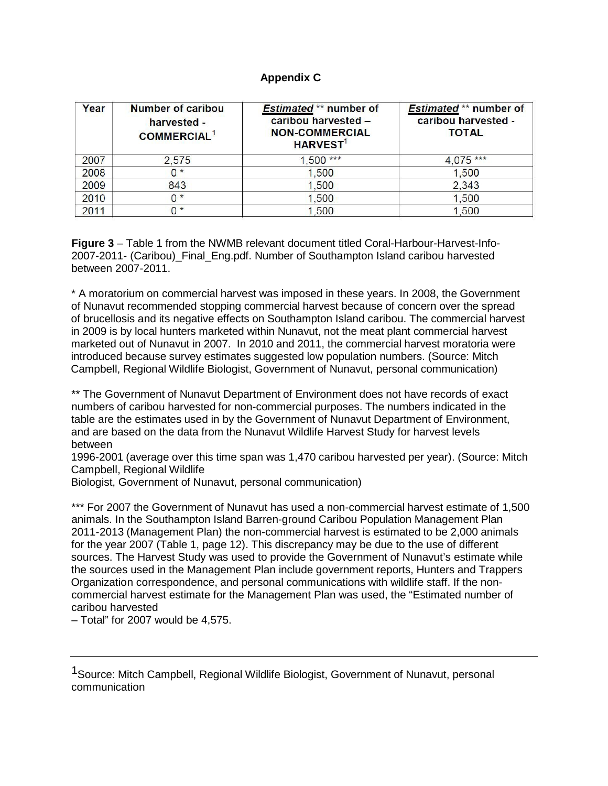#### **Appendix C**

| Year | <b>Number of caribou</b><br>harvested -<br><b>COMMERCIAL<sup>1</sup></b> | <b>Estimated ** number of</b><br>caribou harvested -<br><b>NON-COMMERCIAL</b><br><b>HARVEST<sup>1</sup></b> | <b>Estimated ** number of</b><br>caribou harvested -<br><b>TOTAL</b> |
|------|--------------------------------------------------------------------------|-------------------------------------------------------------------------------------------------------------|----------------------------------------------------------------------|
| 2007 | 2.575                                                                    | $1,500***$                                                                                                  | $4,075***$                                                           |
| 2008 | $0*$                                                                     | 1,500                                                                                                       | 1,500                                                                |
| 2009 | 843                                                                      | 1,500                                                                                                       | 2,343                                                                |
| 2010 | $^*$                                                                     | 1,500                                                                                                       | 1,500                                                                |
| 2011 | $^*$                                                                     | 1,500                                                                                                       | 1,500                                                                |

**Figure 3** – Table 1 from the NWMB relevant document titled Coral-Harbour-Harvest-Info-2007-2011- (Caribou)\_Final\_Eng.pdf. Number of Southampton Island caribou harvested between 2007-2011.

\* A moratorium on commercial harvest was imposed in these years. In 2008, the Government of Nunavut recommended stopping commercial harvest because of concern over the spread of brucellosis and its negative effects on Southampton Island caribou. The commercial harvest in 2009 is by local hunters marketed within Nunavut, not the meat plant commercial harvest marketed out of Nunavut in 2007. In 2010 and 2011, the commercial harvest moratoria were introduced because survey estimates suggested low population numbers. (Source: Mitch Campbell, Regional Wildlife Biologist, Government of Nunavut, personal communication)

\*\* The Government of Nunavut Department of Environment does not have records of exact numbers of caribou harvested for non-commercial purposes. The numbers indicated in the table are the estimates used in by the Government of Nunavut Department of Environment, and are based on the data from the Nunavut Wildlife Harvest Study for harvest levels between

1996-2001 (average over this time span was 1,470 caribou harvested per year). (Source: Mitch Campbell, Regional Wildlife

Biologist, Government of Nunavut, personal communication)

\*\*\* For 2007 the Government of Nunavut has used a non-commercial harvest estimate of 1,500 animals. In the Southampton Island Barren-ground Caribou Population Management Plan 2011-2013 (Management Plan) the non-commercial harvest is estimated to be 2,000 animals for the year 2007 (Table 1, page 12). This discrepancy may be due to the use of different sources. The Harvest Study was used to provide the Government of Nunavut's estimate while the sources used in the Management Plan include government reports, Hunters and Trappers Organization correspondence, and personal communications with wildlife staff. If the noncommercial harvest estimate for the Management Plan was used, the "Estimated number of caribou harvested

– Total" for 2007 would be 4,575.

<sup>1</sup>Source: Mitch Campbell, Regional Wildlife Biologist, Government of Nunavut, personal communication